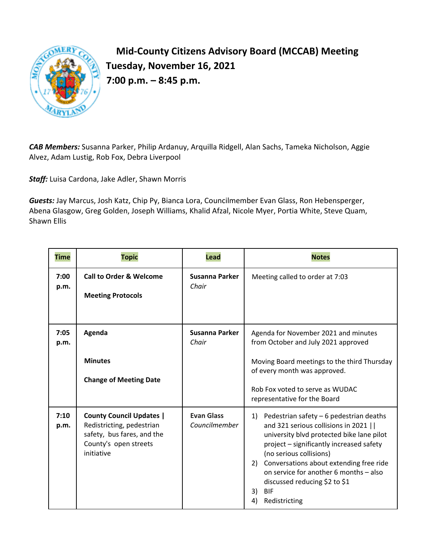

**Mid-County Citizens Advisory Board (MCCAB) Meeting Tuesday, November 16, 2021 7:00 p.m. – 8:45 p.m.** 

*CAB Members:* Susanna Parker, Philip Ardanuy, Arquilla Ridgell, Alan Sachs, Tameka Nicholson, Aggie Alvez, Adam Lustig, Rob Fox, Debra Liverpool

*Staff:* Luisa Cardona, Jake Adler, Shawn Morris

*Guests:* Jay Marcus, Josh Katz, Chip Py, Bianca Lora, Councilmember Evan Glass, Ron Hebensperger, Abena Glasgow, Greg Golden, Joseph Williams, Khalid Afzal, Nicole Myer, Portia White, Steve Quam, Shawn Ellis

| <b>Time</b>  | <b>Topic</b>                                                                                                                      | Lead                               | <b>Notes</b>                                                                                                                                                                                                                                                                                                                                                                       |
|--------------|-----------------------------------------------------------------------------------------------------------------------------------|------------------------------------|------------------------------------------------------------------------------------------------------------------------------------------------------------------------------------------------------------------------------------------------------------------------------------------------------------------------------------------------------------------------------------|
| 7:00<br>p.m. | <b>Call to Order &amp; Welcome</b><br><b>Meeting Protocols</b>                                                                    | <b>Susanna Parker</b><br>Chair     | Meeting called to order at 7:03                                                                                                                                                                                                                                                                                                                                                    |
| 7:05<br>p.m. | Agenda<br><b>Minutes</b><br><b>Change of Meeting Date</b>                                                                         | Susanna Parker<br>Chair            | Agenda for November 2021 and minutes<br>from October and July 2021 approved<br>Moving Board meetings to the third Thursday<br>of every month was approved.<br>Rob Fox voted to serve as WUDAC<br>representative for the Board                                                                                                                                                      |
| 7:10<br>p.m. | <b>County Council Updates  </b><br>Redistricting, pedestrian<br>safety, bus fares, and the<br>County's open streets<br>initiative | <b>Evan Glass</b><br>Councilmember | Pedestrian safety - 6 pedestrian deaths<br>1)<br>and 321 serious collisions in 2021    <br>university blvd protected bike lane pilot<br>project - significantly increased safety<br>(no serious collisions)<br>Conversations about extending free ride<br>2)<br>on service for another 6 months - also<br>discussed reducing \$2 to \$1<br>3)<br><b>BIF</b><br>Redistricting<br>4) |